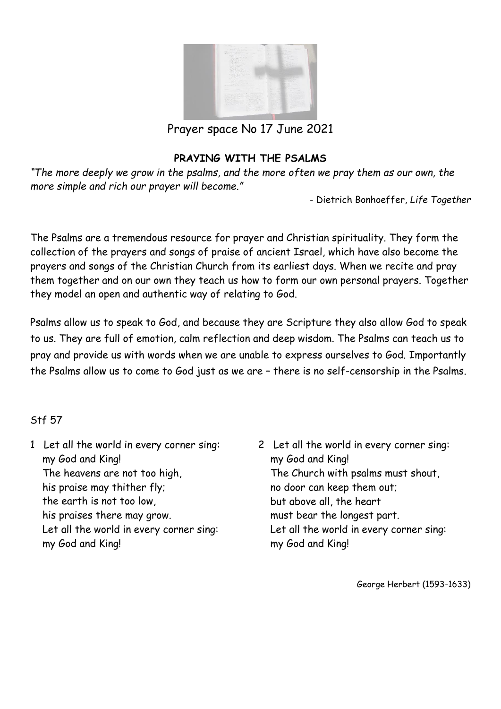

Prayer space No 17 June 2021

#### **PRAYING WITH THE PSALMS**

*"The more deeply we grow in the psalms, and the more often we pray them as our own, the more simple and rich our prayer will become."* 

- Dietrich Bonhoeffer, *Life Together*

The Psalms are a tremendous resource for prayer and Christian spirituality. They form the collection of the prayers and songs of praise of ancient Israel, which have also become the prayers and songs of the Christian Church from its earliest days. When we recite and pray them together and on our own they teach us how to form our own personal prayers. Together they model an open and authentic way of relating to God.

Psalms allow us to speak to God, and because they are Scripture they also allow God to speak to us. They are full of emotion, calm reflection and deep wisdom. The Psalms can teach us to pray and provide us with words when we are unable to express ourselves to God. Importantly the Psalms allow us to come to God just as we are – there is no self-censorship in the Psalms.

#### Stf 57

- 1 Let all the world in every corner sing: my God and King! The heavens are not too high, his praise may thither fly; the earth is not too low, his praises there may grow. Let all the world in every corner sing: my God and King!
- 2 Let all the world in every corner sing: my God and King! The Church with psalms must shout, no door can keep them out; but above all, the heart must bear the longest part. Let all the world in every corner sing: my God and King!

George Herbert (1593-1633)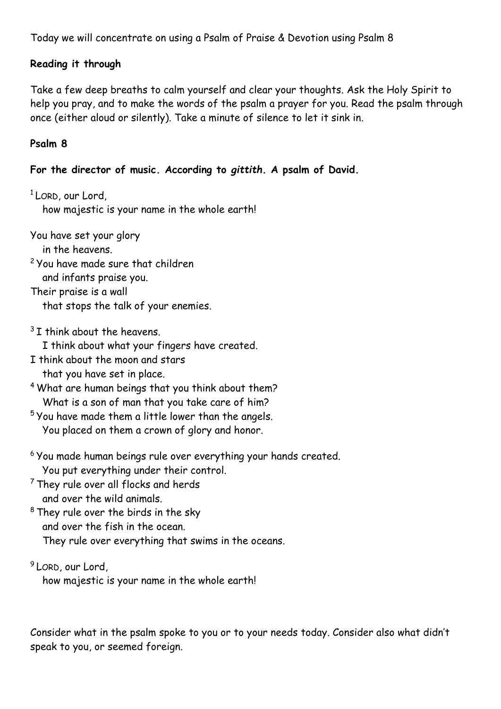Today we will concentrate on using a Psalm of Praise & Devotion using Psalm 8

#### **Reading it through**

Take a few deep breaths to calm yourself and clear your thoughts. Ask the Holy Spirit to help you pray, and to make the words of the psalm a prayer for you. Read the psalm through once (either aloud or silently). Take a minute of silence to let it sink in.

# **Psalm 8**

# **For the director of music. According to** *gittith.* **A psalm of David.**

<sup>1</sup> LORD, our Lord,

how majestic is your name in the whole earth!

You have set your glory

in the heavens.

<sup>2</sup> You have made sure that children and infants praise you.

Their praise is a wall that stops the talk of your enemies.

 $3$  I think about the heavens.

I think about what your fingers have created.

- I think about the moon and stars that you have set in place.
- <sup>4</sup> What are human beings that you think about them? What is a son of man that you take care of him?
- <sup>5</sup> You have made them a little lower than the angels. You placed on them a crown of glory and honor.
- <sup>6</sup> You made human beings rule over everything your hands created. You put everything under their control.
- <sup>7</sup> They rule over all flocks and herds and over the wild animals.
- <sup>8</sup> They rule over the birds in the sky and over the fish in the ocean.

They rule over everything that swims in the oceans.

<sup>9</sup> LORD, our Lord,

how majestic is your name in the whole earth!

Consider what in the psalm spoke to you or to your needs today. Consider also what didn't speak to you, or seemed foreign.